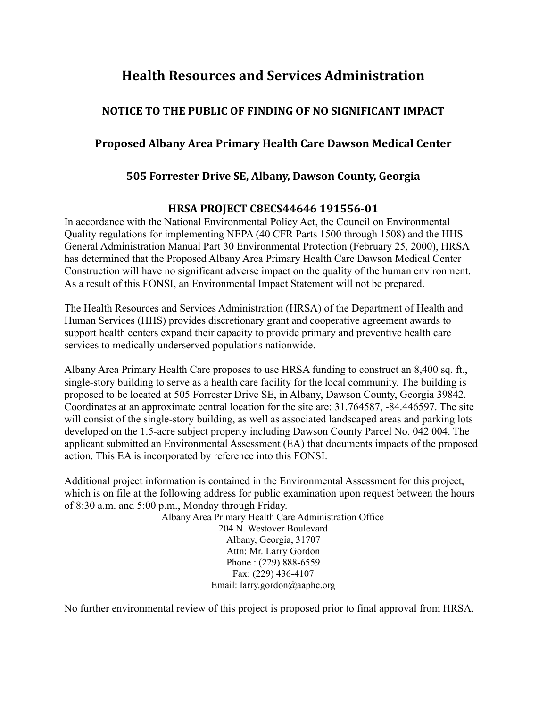# **Health Resources and Services Administration**

## **NOTICE TO THE PUBLIC OF FINDING OF NO SIGNIFICANT IMPACT**

### **Proposed Albany Area Primary Health Care Dawson Medical Center**

#### **505 Forrester Drive SE, Albany, Dawson County, Georgia**

#### **HRSA PROJECT C8ECS44646 191556-01**

In accordance with the National Environmental Policy Act, the Council on Environmental Quality regulations for implementing NEPA (40 CFR Parts 1500 through 1508) and the HHS General Administration Manual Part 30 Environmental Protection (February 25, 2000), HRSA has determined that the Proposed Albany Area Primary Health Care Dawson Medical Center Construction will have no significant adverse impact on the quality of the human environment. As a result of this FONSI, an Environmental Impact Statement will not be prepared.

The Health Resources and Services Administration (HRSA) of the Department of Health and Human Services (HHS) provides discretionary grant and cooperative agreement awards to support health centers expand their capacity to provide primary and preventive health care services to medically underserved populations nationwide.

Albany Area Primary Health Care proposes to use HRSA funding to construct an 8,400 sq. ft., single-story building to serve as a health care facility for the local community. The building is proposed to be located at 505 Forrester Drive SE, in Albany, Dawson County, Georgia 39842. Coordinates at an approximate central location for the site are: 31.764587, -84.446597. The site will consist of the single-story building, as well as associated landscaped areas and parking lots developed on the 1.5-acre subject property including Dawson County Parcel No. 042 004. The applicant submitted an Environmental Assessment (EA) that documents impacts of the proposed action. This EA is incorporated by reference into this FONSI.

Additional project information is contained in the Environmental Assessment for this project, which is on file at the following address for public examination upon request between the hours of 8:30 a.m. and 5:00 p.m., Monday through Friday.

Albany Area Primary Health Care Administration Office 204 N. Westover Boulevard Albany, Georgia, 31707 Attn: Mr. Larry Gordon Phone : (229) 888-6559 Fax: (229) 436-4107 Email: larry.gordon@aaphc.org

No further environmental review of this project is proposed prior to final approval from HRSA.